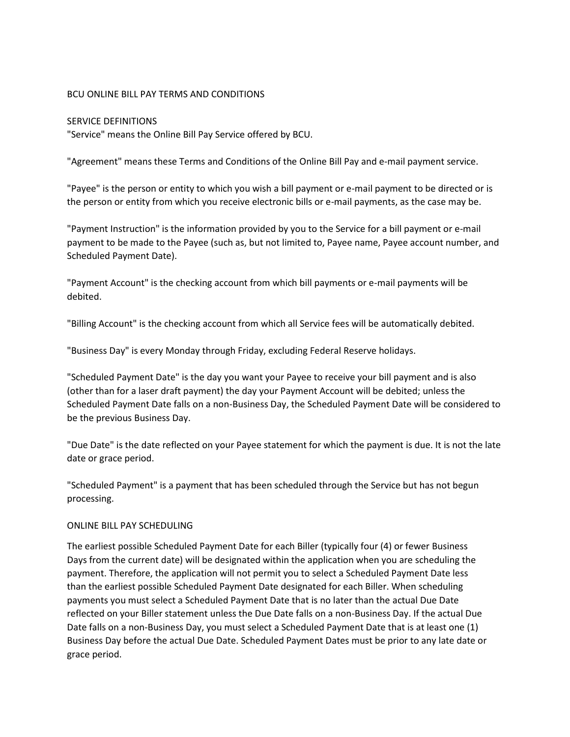### BCU ONLINE BILL PAY TERMS AND CONDITIONS

#### SERVICE DEFINITIONS

"Service" means the Online Bill Pay Service offered by BCU.

"Agreement" means these Terms and Conditions of the Online Bill Pay and e-mail payment service.

"Payee" is the person or entity to which you wish a bill payment or e-mail payment to be directed or is the person or entity from which you receive electronic bills or e-mail payments, as the case may be.

"Payment Instruction" is the information provided by you to the Service for a bill payment or e-mail payment to be made to the Payee (such as, but not limited to, Payee name, Payee account number, and Scheduled Payment Date).

"Payment Account" is the checking account from which bill payments or e-mail payments will be debited.

"Billing Account" is the checking account from which all Service fees will be automatically debited.

"Business Day" is every Monday through Friday, excluding Federal Reserve holidays.

"Scheduled Payment Date" is the day you want your Payee to receive your bill payment and is also (other than for a laser draft payment) the day your Payment Account will be debited; unless the Scheduled Payment Date falls on a non-Business Day, the Scheduled Payment Date will be considered to be the previous Business Day.

"Due Date" is the date reflected on your Payee statement for which the payment is due. It is not the late date or grace period.

"Scheduled Payment" is a payment that has been scheduled through the Service but has not begun processing.

## ONLINE BILL PAY SCHEDULING

The earliest possible Scheduled Payment Date for each Biller (typically four (4) or fewer Business Days from the current date) will be designated within the application when you are scheduling the payment. Therefore, the application will not permit you to select a Scheduled Payment Date less than the earliest possible Scheduled Payment Date designated for each Biller. When scheduling payments you must select a Scheduled Payment Date that is no later than the actual Due Date reflected on your Biller statement unless the Due Date falls on a non-Business Day. If the actual Due Date falls on a non-Business Day, you must select a Scheduled Payment Date that is at least one (1) Business Day before the actual Due Date. Scheduled Payment Dates must be prior to any late date or grace period.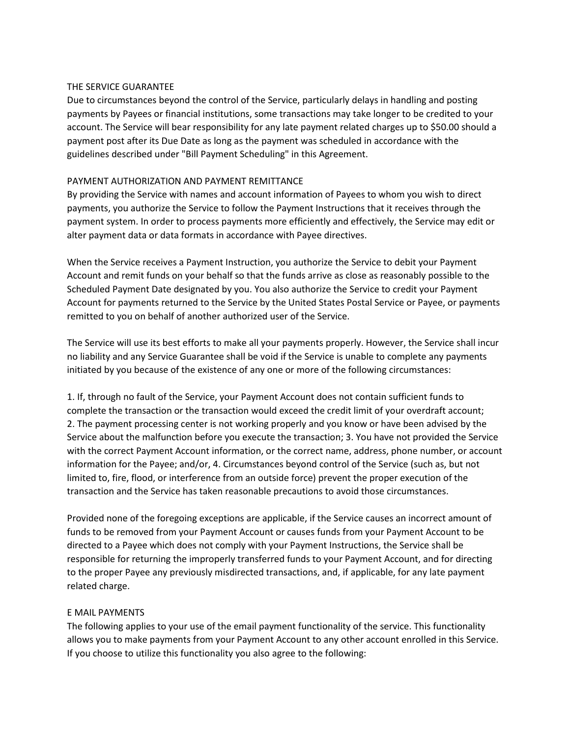### THE SERVICE GUARANTEE

Due to circumstances beyond the control of the Service, particularly delays in handling and posting payments by Payees or financial institutions, some transactions may take longer to be credited to your account. The Service will bear responsibility for any late payment related charges up to \$50.00 should a payment post after its Due Date as long as the payment was scheduled in accordance with the guidelines described under "Bill Payment Scheduling" in this Agreement.

## PAYMENT AUTHORIZATION AND PAYMENT REMITTANCE

By providing the Service with names and account information of Payees to whom you wish to direct payments, you authorize the Service to follow the Payment Instructions that it receives through the payment system. In order to process payments more efficiently and effectively, the Service may edit or alter payment data or data formats in accordance with Payee directives.

When the Service receives a Payment Instruction, you authorize the Service to debit your Payment Account and remit funds on your behalf so that the funds arrive as close as reasonably possible to the Scheduled Payment Date designated by you. You also authorize the Service to credit your Payment Account for payments returned to the Service by the United States Postal Service or Payee, or payments remitted to you on behalf of another authorized user of the Service.

The Service will use its best efforts to make all your payments properly. However, the Service shall incur no liability and any Service Guarantee shall be void if the Service is unable to complete any payments initiated by you because of the existence of any one or more of the following circumstances:

1. If, through no fault of the Service, your Payment Account does not contain sufficient funds to complete the transaction or the transaction would exceed the credit limit of your overdraft account; 2. The payment processing center is not working properly and you know or have been advised by the Service about the malfunction before you execute the transaction; 3. You have not provided the Service with the correct Payment Account information, or the correct name, address, phone number, or account information for the Payee; and/or, 4. Circumstances beyond control of the Service (such as, but not limited to, fire, flood, or interference from an outside force) prevent the proper execution of the transaction and the Service has taken reasonable precautions to avoid those circumstances.

Provided none of the foregoing exceptions are applicable, if the Service causes an incorrect amount of funds to be removed from your Payment Account or causes funds from your Payment Account to be directed to a Payee which does not comply with your Payment Instructions, the Service shall be responsible for returning the improperly transferred funds to your Payment Account, and for directing to the proper Payee any previously misdirected transactions, and, if applicable, for any late payment related charge.

## E MAIL PAYMENTS

The following applies to your use of the email payment functionality of the service. This functionality allows you to make payments from your Payment Account to any other account enrolled in this Service. If you choose to utilize this functionality you also agree to the following: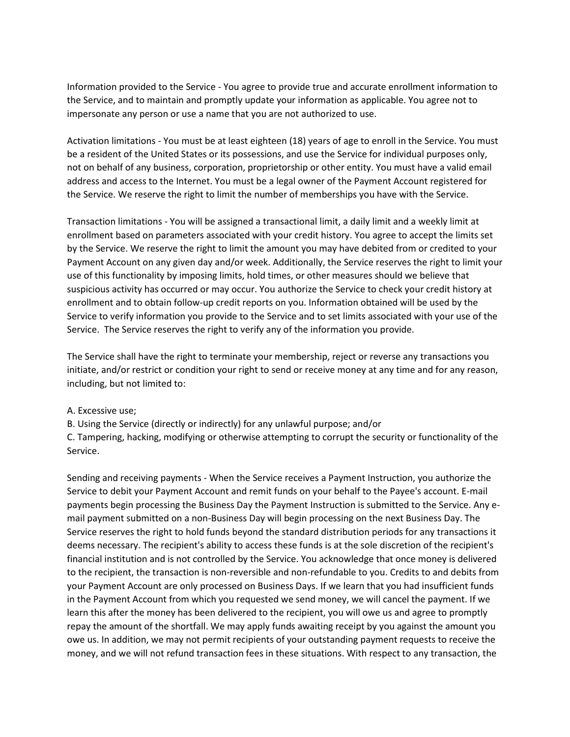Information provided to the Service - You agree to provide true and accurate enrollment information to the Service, and to maintain and promptly update your information as applicable. You agree not to impersonate any person or use a name that you are not authorized to use.

Activation limitations - You must be at least eighteen (18) years of age to enroll in the Service. You must be a resident of the United States or its possessions, and use the Service for individual purposes only, not on behalf of any business, corporation, proprietorship or other entity. You must have a valid email address and access to the Internet. You must be a legal owner of the Payment Account registered for the Service. We reserve the right to limit the number of memberships you have with the Service.

Transaction limitations - You will be assigned a transactional limit, a daily limit and a weekly limit at enrollment based on parameters associated with your credit history. You agree to accept the limits set by the Service. We reserve the right to limit the amount you may have debited from or credited to your Payment Account on any given day and/or week. Additionally, the Service reserves the right to limit your use of this functionality by imposing limits, hold times, or other measures should we believe that suspicious activity has occurred or may occur. You authorize the Service to check your credit history at enrollment and to obtain follow-up credit reports on you. Information obtained will be used by the Service to verify information you provide to the Service and to set limits associated with your use of the Service. The Service reserves the right to verify any of the information you provide.

The Service shall have the right to terminate your membership, reject or reverse any transactions you initiate, and/or restrict or condition your right to send or receive money at any time and for any reason, including, but not limited to:

#### A. Excessive use;

B. Using the Service (directly or indirectly) for any unlawful purpose; and/or

C. Tampering, hacking, modifying or otherwise attempting to corrupt the security or functionality of the Service.

Sending and receiving payments - When the Service receives a Payment Instruction, you authorize the Service to debit your Payment Account and remit funds on your behalf to the Payee's account. E-mail payments begin processing the Business Day the Payment Instruction is submitted to the Service. Any email payment submitted on a non-Business Day will begin processing on the next Business Day. The Service reserves the right to hold funds beyond the standard distribution periods for any transactions it deems necessary. The recipient's ability to access these funds is at the sole discretion of the recipient's financial institution and is not controlled by the Service. You acknowledge that once money is delivered to the recipient, the transaction is non-reversible and non-refundable to you. Credits to and debits from your Payment Account are only processed on Business Days. If we learn that you had insufficient funds in the Payment Account from which you requested we send money, we will cancel the payment. If we learn this after the money has been delivered to the recipient, you will owe us and agree to promptly repay the amount of the shortfall. We may apply funds awaiting receipt by you against the amount you owe us. In addition, we may not permit recipients of your outstanding payment requests to receive the money, and we will not refund transaction fees in these situations. With respect to any transaction, the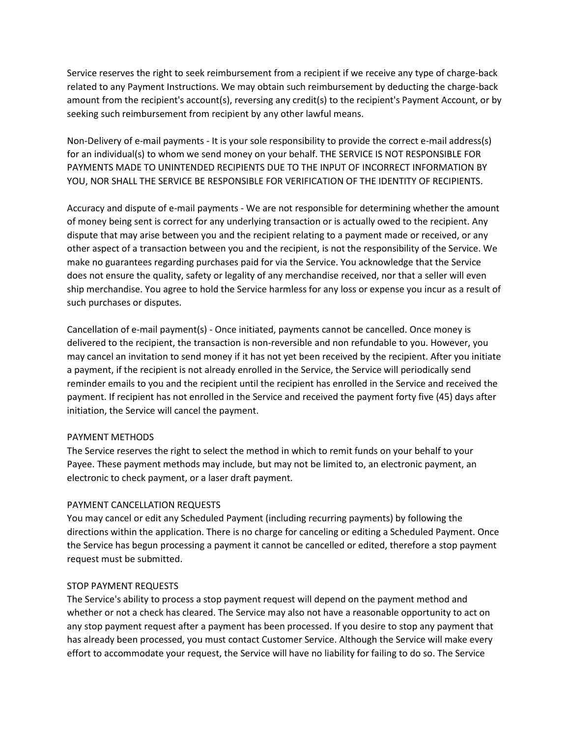Service reserves the right to seek reimbursement from a recipient if we receive any type of charge-back related to any Payment Instructions. We may obtain such reimbursement by deducting the charge-back amount from the recipient's account(s), reversing any credit(s) to the recipient's Payment Account, or by seeking such reimbursement from recipient by any other lawful means.

Non-Delivery of e-mail payments - It is your sole responsibility to provide the correct e-mail address(s) for an individual(s) to whom we send money on your behalf. THE SERVICE IS NOT RESPONSIBLE FOR PAYMENTS MADE TO UNINTENDED RECIPIENTS DUE TO THE INPUT OF INCORRECT INFORMATION BY YOU, NOR SHALL THE SERVICE BE RESPONSIBLE FOR VERIFICATION OF THE IDENTITY OF RECIPIENTS.

Accuracy and dispute of e-mail payments - We are not responsible for determining whether the amount of money being sent is correct for any underlying transaction or is actually owed to the recipient. Any dispute that may arise between you and the recipient relating to a payment made or received, or any other aspect of a transaction between you and the recipient, is not the responsibility of the Service. We make no guarantees regarding purchases paid for via the Service. You acknowledge that the Service does not ensure the quality, safety or legality of any merchandise received, nor that a seller will even ship merchandise. You agree to hold the Service harmless for any loss or expense you incur as a result of such purchases or disputes.

Cancellation of e-mail payment(s) - Once initiated, payments cannot be cancelled. Once money is delivered to the recipient, the transaction is non-reversible and non refundable to you. However, you may cancel an invitation to send money if it has not yet been received by the recipient. After you initiate a payment, if the recipient is not already enrolled in the Service, the Service will periodically send reminder emails to you and the recipient until the recipient has enrolled in the Service and received the payment. If recipient has not enrolled in the Service and received the payment forty five (45) days after initiation, the Service will cancel the payment.

## PAYMENT METHODS

The Service reserves the right to select the method in which to remit funds on your behalf to your Payee. These payment methods may include, but may not be limited to, an electronic payment, an electronic to check payment, or a laser draft payment.

# PAYMENT CANCELLATION REQUESTS

You may cancel or edit any Scheduled Payment (including recurring payments) by following the directions within the application. There is no charge for canceling or editing a Scheduled Payment. Once the Service has begun processing a payment it cannot be cancelled or edited, therefore a stop payment request must be submitted.

## STOP PAYMENT REQUESTS

The Service's ability to process a stop payment request will depend on the payment method and whether or not a check has cleared. The Service may also not have a reasonable opportunity to act on any stop payment request after a payment has been processed. If you desire to stop any payment that has already been processed, you must contact Customer Service. Although the Service will make every effort to accommodate your request, the Service will have no liability for failing to do so. The Service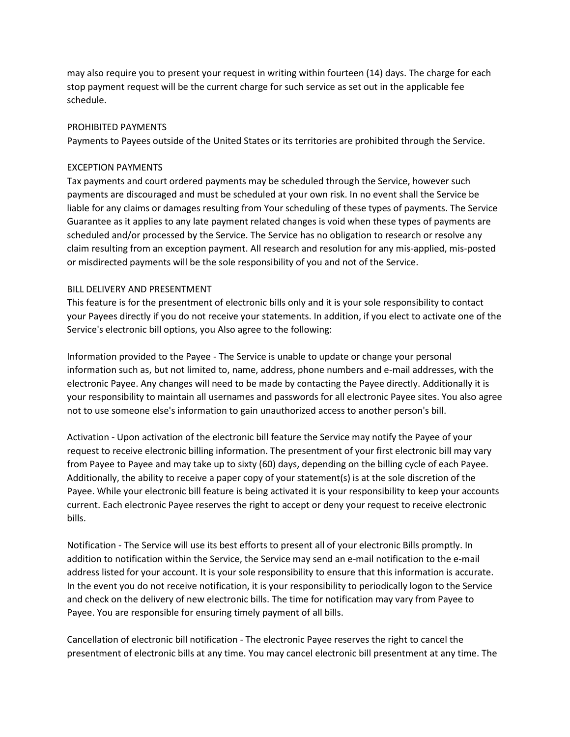may also require you to present your request in writing within fourteen (14) days. The charge for each stop payment request will be the current charge for such service as set out in the applicable fee schedule.

#### PROHIBITED PAYMENTS

Payments to Payees outside of the United States or its territories are prohibited through the Service.

### EXCEPTION PAYMENTS

Tax payments and court ordered payments may be scheduled through the Service, however such payments are discouraged and must be scheduled at your own risk. In no event shall the Service be liable for any claims or damages resulting from Your scheduling of these types of payments. The Service Guarantee as it applies to any late payment related changes is void when these types of payments are scheduled and/or processed by the Service. The Service has no obligation to research or resolve any claim resulting from an exception payment. All research and resolution for any mis-applied, mis-posted or misdirected payments will be the sole responsibility of you and not of the Service.

### BILL DELIVERY AND PRESENTMENT

This feature is for the presentment of electronic bills only and it is your sole responsibility to contact your Payees directly if you do not receive your statements. In addition, if you elect to activate one of the Service's electronic bill options, you Also agree to the following:

Information provided to the Payee - The Service is unable to update or change your personal information such as, but not limited to, name, address, phone numbers and e-mail addresses, with the electronic Payee. Any changes will need to be made by contacting the Payee directly. Additionally it is your responsibility to maintain all usernames and passwords for all electronic Payee sites. You also agree not to use someone else's information to gain unauthorized access to another person's bill.

Activation - Upon activation of the electronic bill feature the Service may notify the Payee of your request to receive electronic billing information. The presentment of your first electronic bill may vary from Payee to Payee and may take up to sixty (60) days, depending on the billing cycle of each Payee. Additionally, the ability to receive a paper copy of your statement(s) is at the sole discretion of the Payee. While your electronic bill feature is being activated it is your responsibility to keep your accounts current. Each electronic Payee reserves the right to accept or deny your request to receive electronic bills.

Notification - The Service will use its best efforts to present all of your electronic Bills promptly. In addition to notification within the Service, the Service may send an e-mail notification to the e-mail address listed for your account. It is your sole responsibility to ensure that this information is accurate. In the event you do not receive notification, it is your responsibility to periodically logon to the Service and check on the delivery of new electronic bills. The time for notification may vary from Payee to Payee. You are responsible for ensuring timely payment of all bills.

Cancellation of electronic bill notification - The electronic Payee reserves the right to cancel the presentment of electronic bills at any time. You may cancel electronic bill presentment at any time. The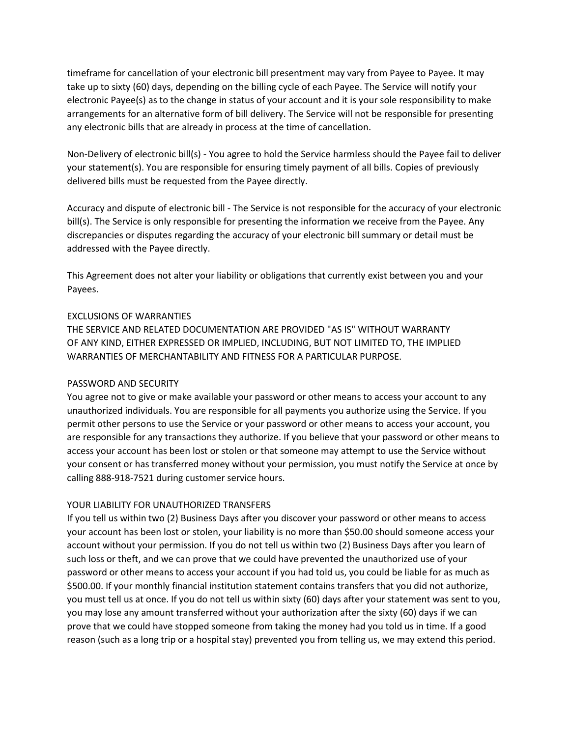timeframe for cancellation of your electronic bill presentment may vary from Payee to Payee. It may take up to sixty (60) days, depending on the billing cycle of each Payee. The Service will notify your electronic Payee(s) as to the change in status of your account and it is your sole responsibility to make arrangements for an alternative form of bill delivery. The Service will not be responsible for presenting any electronic bills that are already in process at the time of cancellation.

Non-Delivery of electronic bill(s) - You agree to hold the Service harmless should the Payee fail to deliver your statement(s). You are responsible for ensuring timely payment of all bills. Copies of previously delivered bills must be requested from the Payee directly.

Accuracy and dispute of electronic bill - The Service is not responsible for the accuracy of your electronic bill(s). The Service is only responsible for presenting the information we receive from the Payee. Any discrepancies or disputes regarding the accuracy of your electronic bill summary or detail must be addressed with the Payee directly.

This Agreement does not alter your liability or obligations that currently exist between you and your Payees.

## EXCLUSIONS OF WARRANTIES

THE SERVICE AND RELATED DOCUMENTATION ARE PROVIDED "AS IS" WITHOUT WARRANTY OF ANY KIND, EITHER EXPRESSED OR IMPLIED, INCLUDING, BUT NOT LIMITED TO, THE IMPLIED WARRANTIES OF MERCHANTABILITY AND FITNESS FOR A PARTICULAR PURPOSE.

# PASSWORD AND SECURITY

You agree not to give or make available your password or other means to access your account to any unauthorized individuals. You are responsible for all payments you authorize using the Service. If you permit other persons to use the Service or your password or other means to access your account, you are responsible for any transactions they authorize. If you believe that your password or other means to access your account has been lost or stolen or that someone may attempt to use the Service without your consent or has transferred money without your permission, you must notify the Service at once by calling 888-918-7521 during customer service hours.

# YOUR LIABILITY FOR UNAUTHORIZED TRANSFERS

If you tell us within two (2) Business Days after you discover your password or other means to access your account has been lost or stolen, your liability is no more than \$50.00 should someone access your account without your permission. If you do not tell us within two (2) Business Days after you learn of such loss or theft, and we can prove that we could have prevented the unauthorized use of your password or other means to access your account if you had told us, you could be liable for as much as \$500.00. If your monthly financial institution statement contains transfers that you did not authorize, you must tell us at once. If you do not tell us within sixty (60) days after your statement was sent to you, you may lose any amount transferred without your authorization after the sixty (60) days if we can prove that we could have stopped someone from taking the money had you told us in time. If a good reason (such as a long trip or a hospital stay) prevented you from telling us, we may extend this period.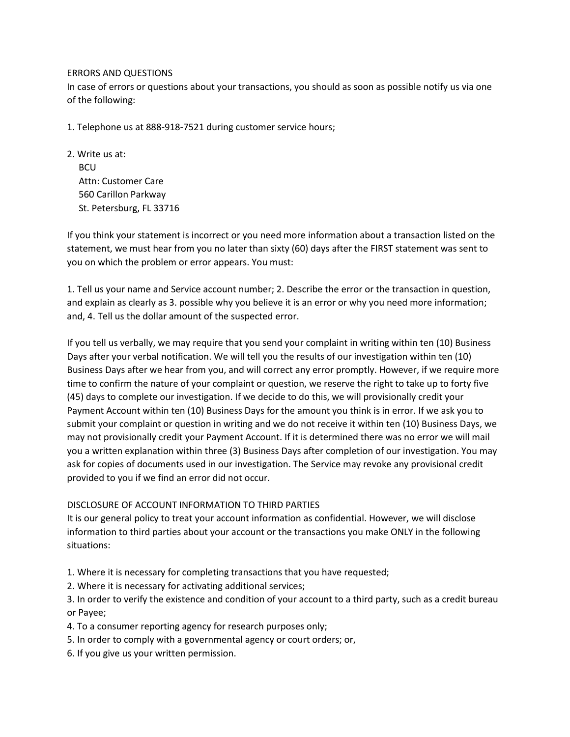### ERRORS AND QUESTIONS

In case of errors or questions about your transactions, you should as soon as possible notify us via one of the following:

1. Telephone us at 888-918-7521 during customer service hours;

2. Write us at: **BCU**  Attn: Customer Care 560 Carillon Parkway St. Petersburg, FL 33716

If you think your statement is incorrect or you need more information about a transaction listed on the statement, we must hear from you no later than sixty (60) days after the FIRST statement was sent to you on which the problem or error appears. You must:

1. Tell us your name and Service account number; 2. Describe the error or the transaction in question, and explain as clearly as 3. possible why you believe it is an error or why you need more information; and, 4. Tell us the dollar amount of the suspected error.

If you tell us verbally, we may require that you send your complaint in writing within ten (10) Business Days after your verbal notification. We will tell you the results of our investigation within ten (10) Business Days after we hear from you, and will correct any error promptly. However, if we require more time to confirm the nature of your complaint or question, we reserve the right to take up to forty five (45) days to complete our investigation. If we decide to do this, we will provisionally credit your Payment Account within ten (10) Business Days for the amount you think is in error. If we ask you to submit your complaint or question in writing and we do not receive it within ten (10) Business Days, we may not provisionally credit your Payment Account. If it is determined there was no error we will mail you a written explanation within three (3) Business Days after completion of our investigation. You may ask for copies of documents used in our investigation. The Service may revoke any provisional credit provided to you if we find an error did not occur.

## DISCLOSURE OF ACCOUNT INFORMATION TO THIRD PARTIES

It is our general policy to treat your account information as confidential. However, we will disclose information to third parties about your account or the transactions you make ONLY in the following situations:

1. Where it is necessary for completing transactions that you have requested;

2. Where it is necessary for activating additional services;

3. In order to verify the existence and condition of your account to a third party, such as a credit bureau or Payee;

- 4. To a consumer reporting agency for research purposes only;
- 5. In order to comply with a governmental agency or court orders; or,
- 6. If you give us your written permission.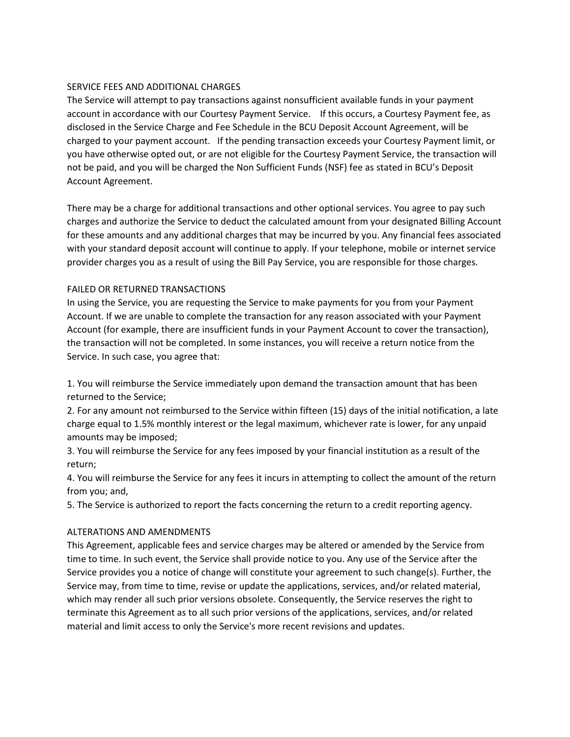# SERVICE FEES AND ADDITIONAL CHARGES

The Service will attempt to pay transactions against nonsufficient available funds in your payment account in accordance with our Courtesy Payment Service. If this occurs, a Courtesy Payment fee, as disclosed in the Service Charge and Fee Schedule in the BCU Deposit Account Agreement, will be charged to your payment account. If the pending transaction exceeds your Courtesy Payment limit, or you have otherwise opted out, or are not eligible for the Courtesy Payment Service, the transaction will not be paid, and you will be charged the Non Sufficient Funds (NSF) fee as stated in BCU's Deposit Account Agreement.

There may be a charge for additional transactions and other optional services. You agree to pay such charges and authorize the Service to deduct the calculated amount from your designated Billing Account for these amounts and any additional charges that may be incurred by you. Any financial fees associated with your standard deposit account will continue to apply. If your telephone, mobile or internet service provider charges you as a result of using the Bill Pay Service, you are responsible for those charges.

# FAILED OR RETURNED TRANSACTIONS

In using the Service, you are requesting the Service to make payments for you from your Payment Account. If we are unable to complete the transaction for any reason associated with your Payment Account (for example, there are insufficient funds in your Payment Account to cover the transaction), the transaction will not be completed. In some instances, you will receive a return notice from the Service. In such case, you agree that:

1. You will reimburse the Service immediately upon demand the transaction amount that has been returned to the Service;

2. For any amount not reimbursed to the Service within fifteen (15) days of the initial notification, a late charge equal to 1.5% monthly interest or the legal maximum, whichever rate is lower, for any unpaid amounts may be imposed;

3. You will reimburse the Service for any fees imposed by your financial institution as a result of the return;

4. You will reimburse the Service for any fees it incurs in attempting to collect the amount of the return from you; and,

5. The Service is authorized to report the facts concerning the return to a credit reporting agency.

## ALTERATIONS AND AMENDMENTS

This Agreement, applicable fees and service charges may be altered or amended by the Service from time to time. In such event, the Service shall provide notice to you. Any use of the Service after the Service provides you a notice of change will constitute your agreement to such change(s). Further, the Service may, from time to time, revise or update the applications, services, and/or related material, which may render all such prior versions obsolete. Consequently, the Service reserves the right to terminate this Agreement as to all such prior versions of the applications, services, and/or related material and limit access to only the Service's more recent revisions and updates.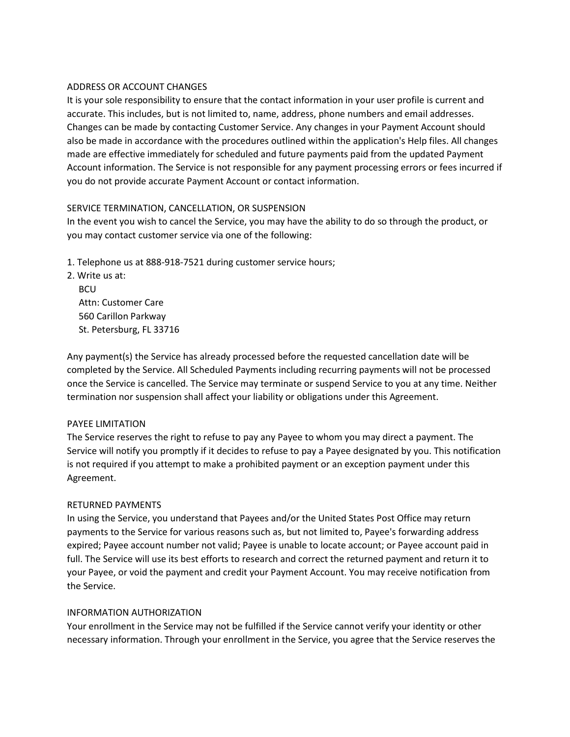## ADDRESS OR ACCOUNT CHANGES

It is your sole responsibility to ensure that the contact information in your user profile is current and accurate. This includes, but is not limited to, name, address, phone numbers and email addresses. Changes can be made by contacting Customer Service. Any changes in your Payment Account should also be made in accordance with the procedures outlined within the application's Help files. All changes made are effective immediately for scheduled and future payments paid from the updated Payment Account information. The Service is not responsible for any payment processing errors or fees incurred if you do not provide accurate Payment Account or contact information.

### SERVICE TERMINATION, CANCELLATION, OR SUSPENSION

In the event you wish to cancel the Service, you may have the ability to do so through the product, or you may contact customer service via one of the following:

- 1. Telephone us at 888-918-7521 during customer service hours;
- 2. Write us at: **BCU** Attn: Customer Care

 560 Carillon Parkway St. Petersburg, FL 33716

Any payment(s) the Service has already processed before the requested cancellation date will be completed by the Service. All Scheduled Payments including recurring payments will not be processed once the Service is cancelled. The Service may terminate or suspend Service to you at any time. Neither termination nor suspension shall affect your liability or obligations under this Agreement.

#### PAYEE LIMITATION

The Service reserves the right to refuse to pay any Payee to whom you may direct a payment. The Service will notify you promptly if it decides to refuse to pay a Payee designated by you. This notification is not required if you attempt to make a prohibited payment or an exception payment under this Agreement.

## RETURNED PAYMENTS

In using the Service, you understand that Payees and/or the United States Post Office may return payments to the Service for various reasons such as, but not limited to, Payee's forwarding address expired; Payee account number not valid; Payee is unable to locate account; or Payee account paid in full. The Service will use its best efforts to research and correct the returned payment and return it to your Payee, or void the payment and credit your Payment Account. You may receive notification from the Service.

#### INFORMATION AUTHORIZATION

Your enrollment in the Service may not be fulfilled if the Service cannot verify your identity or other necessary information. Through your enrollment in the Service, you agree that the Service reserves the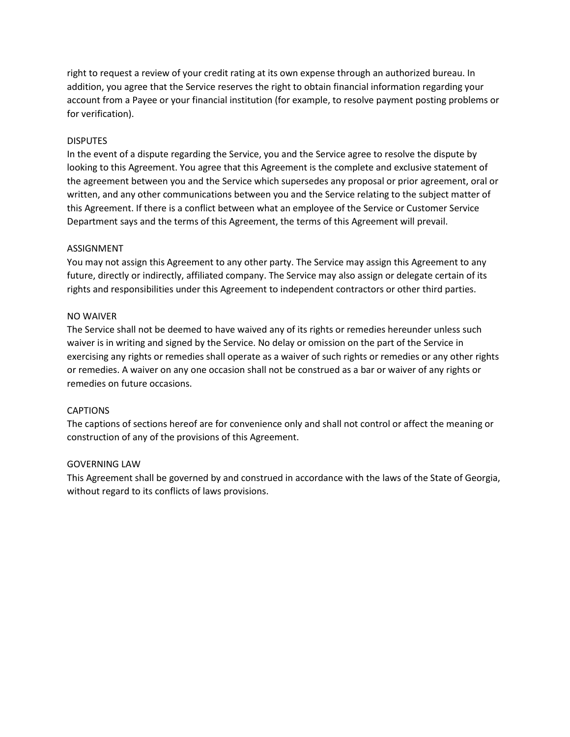right to request a review of your credit rating at its own expense through an authorized bureau. In addition, you agree that the Service reserves the right to obtain financial information regarding your account from a Payee or your financial institution (for example, to resolve payment posting problems or for verification).

#### **DISPUTES**

In the event of a dispute regarding the Service, you and the Service agree to resolve the dispute by looking to this Agreement. You agree that this Agreement is the complete and exclusive statement of the agreement between you and the Service which supersedes any proposal or prior agreement, oral or written, and any other communications between you and the Service relating to the subject matter of this Agreement. If there is a conflict between what an employee of the Service or Customer Service Department says and the terms of this Agreement, the terms of this Agreement will prevail.

### ASSIGNMENT

You may not assign this Agreement to any other party. The Service may assign this Agreement to any future, directly or indirectly, affiliated company. The Service may also assign or delegate certain of its rights and responsibilities under this Agreement to independent contractors or other third parties.

### NO WAIVER

The Service shall not be deemed to have waived any of its rights or remedies hereunder unless such waiver is in writing and signed by the Service. No delay or omission on the part of the Service in exercising any rights or remedies shall operate as a waiver of such rights or remedies or any other rights or remedies. A waiver on any one occasion shall not be construed as a bar or waiver of any rights or remedies on future occasions.

#### CAPTIONS

The captions of sections hereof are for convenience only and shall not control or affect the meaning or construction of any of the provisions of this Agreement.

#### GOVERNING LAW

This Agreement shall be governed by and construed in accordance with the laws of the State of Georgia, without regard to its conflicts of laws provisions.